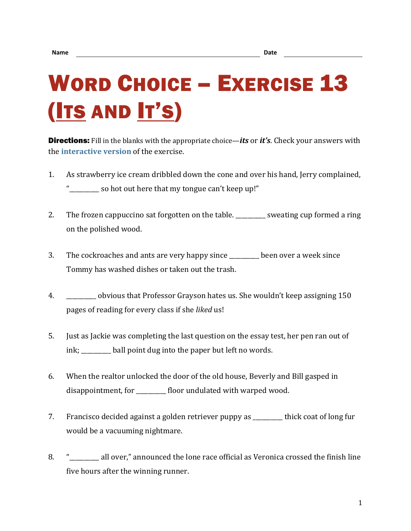## WORD CHOICE – EXERCISE 13 (ITS AND IT'S)

Directions: Fill in the blanks with the appropriate choice—*its* or *it's*. Check your answers with the **[interactive version](https://chompchomp.com/hotpotatoes/wordchoice13.htm)** of the exercise.

- 1. As strawberry ice cream dribbled down the cone and over his hand, Jerry complained, " so hot out here that my tongue can't keep up!"
- 2. The frozen cappuccino sat forgotten on the table. \_\_\_\_\_\_\_\_\_ sweating cup formed a ring on the polished wood.
- 3. The cockroaches and ants are very happy since \_\_\_\_\_\_\_\_\_\_ been over a week since Tommy has washed dishes or taken out the trash.
- 4. \_\_\_\_\_\_\_\_\_\_ obvious that Professor Grayson hates us. She wouldn't keep assigning 150 pages of reading for every class if she *liked* us!
- 5. Just as Jackie was completing the last question on the essay test, her pen ran out of ink; \_\_\_\_\_\_\_\_\_\_ ball point dug into the paper but left no words.
- 6. When the realtor unlocked the door of the old house, Beverly and Bill gasped in disappointment, for \_\_\_\_\_\_\_\_\_\_\_ floor undulated with warped wood.
- 7. Francisco decided against a golden retriever puppy as \_\_\_\_\_\_\_\_\_\_ thick coat of long fur would be a vacuuming nightmare.
- 8. "\_\_\_\_\_\_\_\_ all over," announced the lone race official as Veronica crossed the finish line five hours after the winning runner.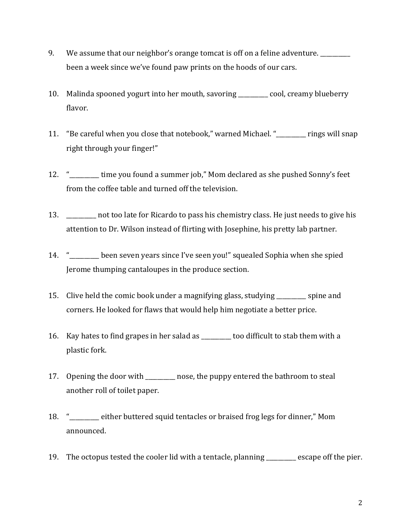- 9. We assume that our neighbor's orange tomcat is off on a feline adventure. been a week since we've found paw prints on the hoods of our cars.
- 10. Malinda spooned yogurt into her mouth, savoring \_\_\_\_\_\_\_\_\_\_ cool, creamy blueberry flavor.
- 11. "Be careful when you close that notebook," warned Michael. "\_\_\_\_\_\_\_\_\_\_ rings will snap right through your finger!"
- 12. " Time you found a summer job," Mom declared as she pushed Sonny's feet from the coffee table and turned off the television.
- 13. https://www.mot.too late for Ricardo to pass his chemistry class. He just needs to give his attention to Dr. Wilson instead of flirting with Josephine, his pretty lab partner.
- 14. "\_\_\_\_\_\_\_\_\_\_ been seven years since I've seen you!" squealed Sophia when she spied Jerome thumping cantaloupes in the produce section.
- 15. Clive held the comic book under a magnifying glass, studying spine and corners. He looked for flaws that would help him negotiate a better price.
- 16. Kay hates to find grapes in her salad as \_\_\_\_\_\_\_\_\_\_ too difficult to stab them with a plastic fork.
- 17. Opening the door with \_\_\_\_\_\_\_\_\_\_ nose, the puppy entered the bathroom to steal another roll of toilet paper.
- 18. "\_\_\_\_\_\_\_\_\_\_ either buttered squid tentacles or braised frog legs for dinner," Mom announced.
- 19. The octopus tested the cooler lid with a tentacle, planning \_\_\_\_\_\_\_\_\_\_ escape off the pier.